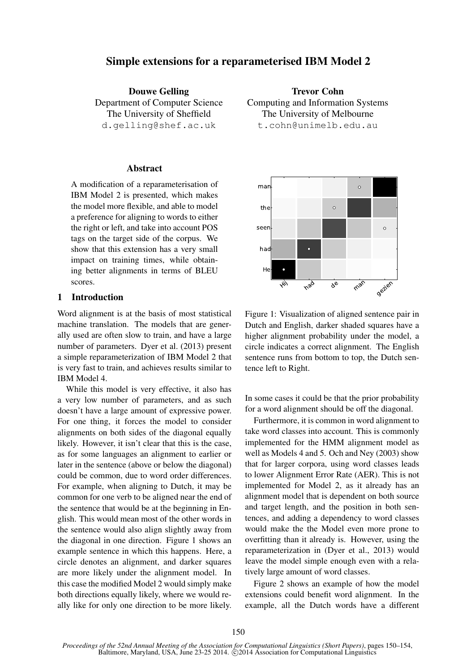# Simple extensions for a reparameterised IBM Model 2

Douwe Gelling Department of Computer Science The University of Sheffield d.gelling@shef.ac.uk

# **Abstract**

A modification of a reparameterisation of IBM Model 2 is presented, which makes the model more flexible, and able to model a preference for aligning to words to either the right or left, and take into account POS tags on the target side of the corpus. We show that this extension has a very small impact on training times, while obtaining better alignments in terms of BLEU scores.

### 1 Introduction

Word alignment is at the basis of most statistical machine translation. The models that are generally used are often slow to train, and have a large number of parameters. Dyer et al. (2013) present a simple reparameterization of IBM Model 2 that is very fast to train, and achieves results similar to IBM Model 4.

While this model is very effective, it also has a very low number of parameters, and as such doesn't have a large amount of expressive power. For one thing, it forces the model to consider alignments on both sides of the diagonal equally likely. However, it isn't clear that this is the case, as for some languages an alignment to earlier or later in the sentence (above or below the diagonal) could be common, due to word order differences. For example, when aligning to Dutch, it may be common for one verb to be aligned near the end of the sentence that would be at the beginning in English. This would mean most of the other words in the sentence would also align slightly away from the diagonal in one direction. Figure 1 shows an example sentence in which this happens. Here, a circle denotes an alignment, and darker squares are more likely under the alignment model. In this case the modified Model 2 would simply make both directions equally likely, where we would really like for only one direction to be more likely.

Trevor Cohn Computing and Information Systems The University of Melbourne t.cohn@unimelb.edu.au



Figure 1: Visualization of aligned sentence pair in Dutch and English, darker shaded squares have a higher alignment probability under the model, a circle indicates a correct alignment. The English sentence runs from bottom to top, the Dutch sentence left to Right.

In some cases it could be that the prior probability for a word alignment should be off the diagonal.

Furthermore, it is common in word alignment to take word classes into account. This is commonly implemented for the HMM alignment model as well as Models 4 and 5. Och and Ney (2003) show that for larger corpora, using word classes leads to lower Alignment Error Rate (AER). This is not implemented for Model 2, as it already has an alignment model that is dependent on both source and target length, and the position in both sentences, and adding a dependency to word classes would make the the Model even more prone to overfitting than it already is. However, using the reparameterization in (Dyer et al., 2013) would leave the model simple enough even with a relatively large amount of word classes.

Figure 2 shows an example of how the model extensions could benefit word alignment. In the example, all the Dutch words have a different

*Proceedings of the 52nd Annual Meeting of the Association for Computational Linguistics (Short Papers)*, pages 150–154, Baltimore, Maryland, USA, June 23-25 2014. @2014 Association for Computational Linguistics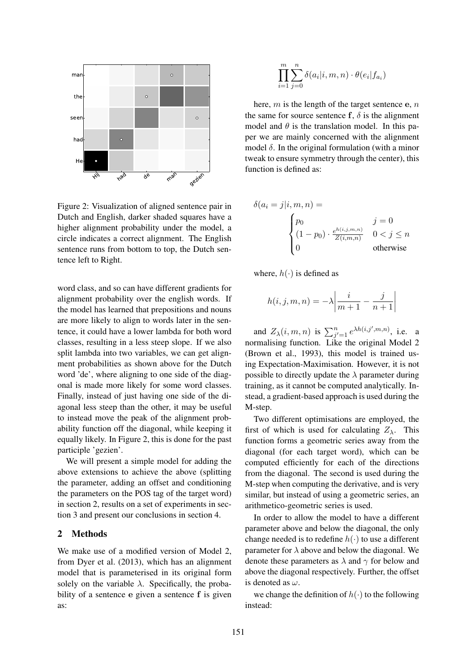

Figure 2: Visualization of aligned sentence pair in Dutch and English, darker shaded squares have a higher alignment probability under the model, a circle indicates a correct alignment. The English sentence runs from bottom to top, the Dutch sentence left to Right.

word class, and so can have different gradients for alignment probability over the english words. If the model has learned that prepositions and nouns are more likely to align to words later in the sentence, it could have a lower lambda for both word classes, resulting in a less steep slope. If we also split lambda into two variables, we can get alignment probabilities as shown above for the Dutch word 'de', where aligning to one side of the diagonal is made more likely for some word classes. Finally, instead of just having one side of the diagonal less steep than the other, it may be useful to instead move the peak of the alignment probability function off the diagonal, while keeping it equally likely. In Figure 2, this is done for the past participle 'gezien'.

We will present a simple model for adding the above extensions to achieve the above (splitting the parameter, adding an offset and conditioning the parameters on the POS tag of the target word) in section 2, results on a set of experiments in section 3 and present our conclusions in section 4.

### 2 Methods

We make use of a modified version of Model 2, from Dyer et al. (2013), which has an alignment model that is parameterised in its original form solely on the variable  $\lambda$ . Specifically, the probability of a sentence e given a sentence f is given as:

$$
\prod_{i=1}^{m} \sum_{j=0}^{n} \delta(a_i|i, m, n) \cdot \theta(e_i|f_{a_i})
$$

here,  $m$  is the length of the target sentence  $e$ ,  $n$ the same for source sentence f,  $\delta$  is the alignment model and  $\theta$  is the translation model. In this paper we are mainly concerned with the alignment model  $\delta$ . In the original formulation (with a minor tweak to ensure symmetry through the center), this function is defined as:

$$
\delta(a_i = j | i, m, n) =
$$
\n
$$
\begin{cases}\np_0 & j = 0 \\
(1 - p_0) \cdot \frac{e^{h(i, j, m, n)}}{Z(i, m, n)} & 0 < j \le n \\
0 & \text{otherwise}\n\end{cases}
$$

where,  $h(\cdot)$  is defined as

$$
h(i,j,m,n) = -\lambda \left| \frac{i}{m+1} - \frac{j}{n+1} \right|
$$

and  $Z_{\lambda}(i, m, n)$  is  $\sum_{j'=1}^{n} e^{\lambda h(i, j', m, n)}$ , i.e. a normalising function. Like the original Model 2 (Brown et al., 1993), this model is trained using Expectation-Maximisation. However, it is not possible to directly update the  $\lambda$  parameter during training, as it cannot be computed analytically. Instead, a gradient-based approach is used during the M-step.

Two different optimisations are employed, the first of which is used for calculating  $Z_{\lambda}$ . This function forms a geometric series away from the diagonal (for each target word), which can be computed efficiently for each of the directions from the diagonal. The second is used during the M-step when computing the derivative, and is very similar, but instead of using a geometric series, an arithmetico-geometric series is used.

In order to allow the model to have a different parameter above and below the diagonal, the only change needed is to redefine  $h(\cdot)$  to use a different parameter for  $\lambda$  above and below the diagonal. We denote these parameters as  $\lambda$  and  $\gamma$  for below and above the diagonal respectively. Further, the offset is denoted as  $\omega$ .

we change the definition of  $h(\cdot)$  to the following instead: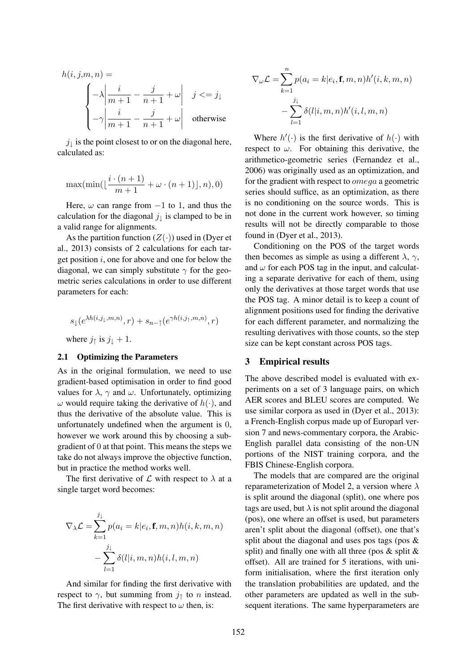$$
h(i, j, m, n) =
$$
\n
$$
\begin{cases}\n-\lambda \left| \frac{i}{m+1} - \frac{j}{n+1} + \omega \right| & j < = j_{\downarrow} \\
-\gamma \left| \frac{i}{m+1} - \frac{j}{n+1} + \omega \right| & \text{otherwise}\n\end{cases}
$$

 $j_{\downarrow}$  is the point closest to or on the diagonal here, calculated as:

$$
\max(\min(\lfloor\frac{i\cdot(n+1)}{m+1}+\omega\cdot(n+1)\rfloor,n),0)
$$

Here,  $\omega$  can range from  $-1$  to 1, and thus the calculation for the diagonal  $j_{\perp}$  is clamped to be in a valid range for alignments.

As the partition function  $(Z(\cdot))$  used in (Dyer et al., 2013) consists of 2 calculations for each target position  $i$ , one for above and one for below the diagonal, we can simply substitute  $\gamma$  for the geometric series calculations in order to use different parameters for each:

$$
s_{\downarrow}(e^{\lambda h(i,j_{\downarrow},m,n)},r) + s_{n-\uparrow}(e^{\gamma h(i,j_{\uparrow},m,n)},r)
$$
  
where  $j_{\uparrow}$  is  $j_{\downarrow} + 1$ .

#### 2.1 Optimizing the Parameters

As in the original formulation, we need to use gradient-based optimisation in order to find good values for  $\lambda$ ,  $\gamma$  and  $\omega$ . Unfortunately, optimizing  $\omega$  would require taking the derivative of  $h(\cdot)$ , and thus the derivative of the absolute value. This is unfortunately undefined when the argument is 0, however we work around this by choosing a subgradient of 0 at that point. This means the steps we take do not always improve the objective function, but in practice the method works well.

The first derivative of  $\mathcal L$  with respect to  $\lambda$  at a single target word becomes:

$$
\nabla_{\lambda} \mathcal{L} = \sum_{k=1}^{j_{\downarrow}} p(a_i = k | e_i, \mathbf{f}, m, n) h(i, k, m, n)
$$

$$
- \sum_{l=1}^{j_{\downarrow}} \delta(l | i, m, n) h(i, l, m, n)
$$

And similar for finding the first derivative with respect to  $\gamma$ , but summing from  $j_{\uparrow}$  to n instead. The first derivative with respect to  $\omega$  then, is:

$$
\nabla_{\omega} \mathcal{L} = \sum_{k=1}^{n} p(a_i = k | e_i, \mathbf{f}, m, n) h'(i, k, m, n)
$$

$$
- \sum_{l=1}^{j_{\downarrow}} \delta(l | i, m, n) h'(i, l, m, n)
$$

Where  $h'(\cdot)$  is the first derivative of  $h(\cdot)$  with respect to  $\omega$ . For obtaining this derivative, the arithmetico-geometric series (Fernandez et al., 2006) was originally used as an optimization, and for the gradient with respect to omega a geometric series should suffice, as an optimization, as there is no conditioning on the source words. This is not done in the current work however, so timing results will not be directly comparable to those found in (Dyer et al., 2013).

Conditioning on the POS of the target words then becomes as simple as using a different  $\lambda$ ,  $\gamma$ , and  $\omega$  for each POS tag in the input, and calculating a separate derivative for each of them, using only the derivatives at those target words that use the POS tag. A minor detail is to keep a count of alignment positions used for finding the derivative for each different parameter, and normalizing the resulting derivatives with those counts, so the step size can be kept constant across POS tags.

### 3 Empirical results

The above described model is evaluated with experiments on a set of 3 language pairs, on which AER scores and BLEU scores are computed. We use similar corpora as used in (Dyer et al., 2013): a French-English corpus made up of Europarl version 7 and news-commentary corpora, the Arabic-English parallel data consisting of the non-UN portions of the NIST training corpora, and the FBIS Chinese-English corpora.

The models that are compared are the original reparameterization of Model 2, a version where  $\lambda$ is split around the diagonal (split), one where pos tags are used, but  $\lambda$  is not split around the diagonal (pos), one where an offset is used, but parameters aren't split about the diagonal (offset), one that's split about the diagonal and uses pos tags (pos & split) and finally one with all three (pos  $\&$  split  $\&$ offset). All are trained for 5 iterations, with uniform initialisation, where the first iteration only the translation probabilities are updated, and the other parameters are updated as well in the subsequent iterations. The same hyperparameters are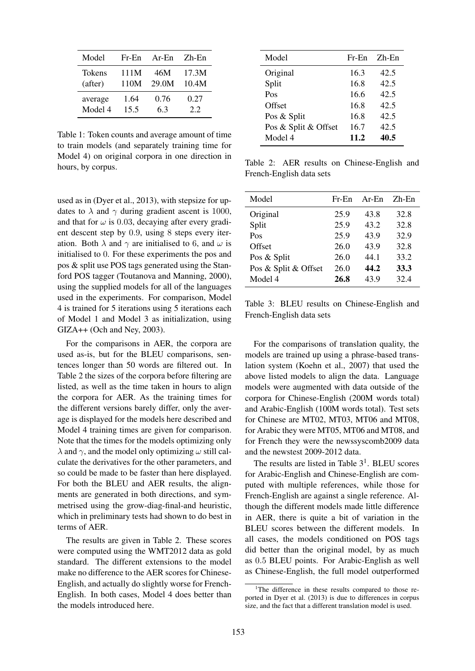| Model   | $Fr$ - $En$ | $Ar-En$ | $Zh$ -En |
|---------|-------------|---------|----------|
| Tokens  | 111M        | 46M     | 17.3M    |
| (after) | 110M        | 29.0M   | 10.4M    |
| average | 1.64        | 0.76    | 0.27     |
| Model 4 | 15.5        | 6.3     | 2.2      |

Table 1: Token counts and average amount of time to train models (and separately training time for Model 4) on original corpora in one direction in hours, by corpus.

used as in (Dyer et al., 2013), with stepsize for updates to  $\lambda$  and  $\gamma$  during gradient ascent is 1000, and that for  $\omega$  is 0.03, decaying after every gradient descent step by 0.9, using 8 steps every iteration. Both  $\lambda$  and  $\gamma$  are initialised to 6, and  $\omega$  is initialised to 0. For these experiments the pos and pos & split use POS tags generated using the Stanford POS tagger (Toutanova and Manning, 2000), using the supplied models for all of the languages used in the experiments. For comparison, Model 4 is trained for 5 iterations using 5 iterations each of Model 1 and Model 3 as initialization, using GIZA++ (Och and Ney, 2003).

For the comparisons in AER, the corpora are used as-is, but for the BLEU comparisons, sentences longer than 50 words are filtered out. In Table 2 the sizes of the corpora before filtering are listed, as well as the time taken in hours to align the corpora for AER. As the training times for the different versions barely differ, only the average is displayed for the models here described and Model 4 training times are given for comparison. Note that the times for the models optimizing only  $\lambda$  and  $\gamma$ , and the model only optimizing  $\omega$  still calculate the derivatives for the other parameters, and so could be made to be faster than here displayed. For both the BLEU and AER results, the alignments are generated in both directions, and symmetrised using the grow-diag-final-and heuristic, which in preliminary tests had shown to do best in terms of AER.

The results are given in Table 2. These scores were computed using the WMT2012 data as gold standard. The different extensions to the model make no difference to the AER scores for Chinese-English, and actually do slightly worse for French-English. In both cases, Model 4 does better than the models introduced here.

| Model                | $Fr$ -En | $Zh-En$ |
|----------------------|----------|---------|
| Original             | 16.3     | 42.5    |
| Split                | 16.8     | 42.5    |
| Pos                  | 16.6     | 42.5    |
| Offset               | 16.8     | 42.5    |
| Pos & Split          | 16.8     | 42.5    |
| Pos & Split & Offset | 16.7     | 42.5    |
| Model 4              | 11.2     | 40.5    |

Table 2: AER results on Chinese-English and French-English data sets

| Model                | $Fr$ - $En$ | $Ar-En$ | $Zh$ -En |
|----------------------|-------------|---------|----------|
| Original             | 25.9        | 43.8    | 32.8     |
| Split                | 25.9        | 43.2    | 32.8     |
| Pos                  | 25.9        | 43.9    | 32.9     |
| Offset               | 26.0        | 43.9    | 32.8     |
| Pos & Split          | 26.0        | 44.1    | 33.2     |
| Pos & Split & Offset | 26.0        | 44.2    | 33.3     |
| Model 4              | 26.8        | 43.9    | 32.4     |

Table 3: BLEU results on Chinese-English and French-English data sets

For the comparisons of translation quality, the models are trained up using a phrase-based translation system (Koehn et al., 2007) that used the above listed models to align the data. Language models were augmented with data outside of the corpora for Chinese-English (200M words total) and Arabic-English (100M words total). Test sets for Chinese are MT02, MT03, MT06 and MT08, for Arabic they were MT05, MT06 and MT08, and for French they were the newssyscomb2009 data and the newstest 2009-2012 data.

The results are listed in Table  $3<sup>1</sup>$ . BLEU scores for Arabic-English and Chinese-English are computed with multiple references, while those for French-English are against a single reference. Although the different models made little difference in AER, there is quite a bit of variation in the BLEU scores between the different models. In all cases, the models conditioned on POS tags did better than the original model, by as much as 0.5 BLEU points. For Arabic-English as well as Chinese-English, the full model outperformed

<sup>&</sup>lt;sup>1</sup>The difference in these results compared to those reported in Dyer et al. (2013) is due to differences in corpus size, and the fact that a different translation model is used.